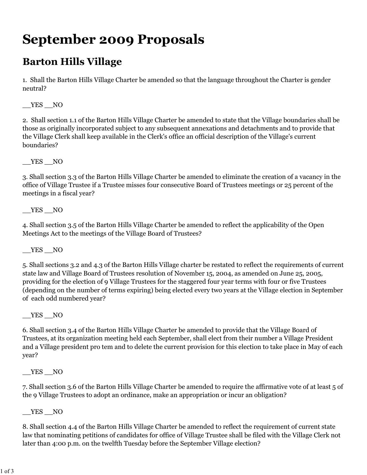## **September 2009 Proposals**

## **Barton Hills Village**

1. Shall the Barton Hills Village Charter be amended so that the language throughout the Charter is gender neutral?

\_\_YES \_\_NO

2. Shall section 1.1 of the Barton Hills Village Charter be amended to state that the Village boundaries shall be those as originally incorporated subject to any subsequent annexations and detachments and to provide that the Village Clerk shall keep available in the Clerk's office an official description of the Village's current boundaries?

\_\_YES \_\_NO

3. Shall section 3.3 of the Barton Hills Village Charter be amended to eliminate the creation of a vacancy in the office of Village Trustee if a Trustee misses four consecutive Board of Trustees meetings or 25 percent of the meetings in a fiscal year?

YES NO

4. Shall section 3.5 of the Barton Hills Village Charter be amended to reflect the applicability of the Open Meetings Act to the meetings of the Village Board of Trustees?

 $YES$  NO

5. Shall sections 3.2 and 4.3 of the Barton Hills Village charter be restated to reflect the requirements of current state law and Village Board of Trustees resolution of November 15, 2004, as amended on June 25, 2005, providing for the election of 9 Village Trustees for the staggered four year terms with four or five Trustees (depending on the number of terms expiring) being elected every two years at the Village election in September of each odd numbered year?

 $YES$  NO

6. Shall section 3.4 of the Barton Hills Village Charter be amended to provide that the Village Board of Trustees, at its organization meeting held each September, shall elect from their number a Village President and a Village president pro tem and to delete the current provision for this election to take place in May of each year?

 $YES$   $NO$ 

7. Shall section 3.6 of the Barton Hills Village Charter be amended to require the affirmative vote of at least 5 of the 9 Village Trustees to adopt an ordinance, make an appropriation or incur an obligation?

\_\_YES \_\_NO

8. Shall section 4.4 of the Barton Hills Village Charter be amended to reflect the requirement of current state law that nominating petitions of candidates for office of Village Trustee shall be filed with the Village Clerk not later than 4:00 p.m. on the twelfth Tuesday before the September Village election?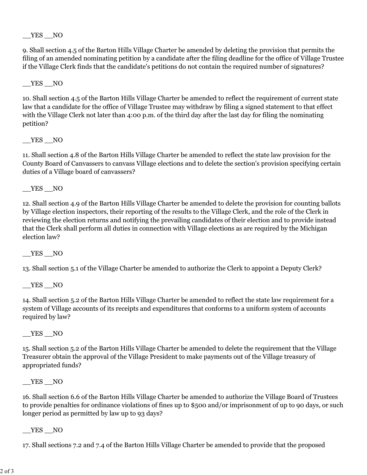$YES$   $NO$ 

9. Shall section 4.5 of the Barton Hills Village Charter be amended by deleting the provision that permits the filing of an amended nominating petition by a candidate after the filing deadline for the office of Village Trustee if the Village Clerk finds that the candidate's petitions do not contain the required number of signatures?

\_\_YES \_\_NO

10. Shall section 4.5 of the Barton Hills Village Charter be amended to reflect the requirement of current state law that a candidate for the office of Village Trustee may withdraw by filing a signed statement to that effect with the Village Clerk not later than 4:00 p.m. of the third day after the last day for filing the nominating petition?

 $YES$  NO

11. Shall section 4.8 of the Barton Hills Village Charter be amended to reflect the state law provision for the County Board of Canvassers to canvass Village elections and to delete the section's provision specifying certain duties of a Village board of canvassers?

YES NO

12. Shall section 4.9 of the Barton Hills Village Charter be amended to delete the provision for counting ballots by Village election inspectors, their reporting of the results to the Village Clerk, and the role of the Clerk in reviewing the election returns and notifying the prevailing candidates of their election and to provide instead that the Clerk shall perform all duties in connection with Village elections as are required by the Michigan election law?

\_\_YES \_\_NO

13. Shall section 5.1 of the Village Charter be amended to authorize the Clerk to appoint a Deputy Clerk?

YES NO

14. Shall section 5.2 of the Barton Hills Village Charter be amended to reflect the state law requirement for a system of Village accounts of its receipts and expenditures that conforms to a uniform system of accounts required by law?

\_\_YES \_\_NO

15. Shall section 5.2 of the Barton Hills Village Charter be amended to delete the requirement that the Village Treasurer obtain the approval of the Village President to make payments out of the Village treasury of appropriated funds?

 $YES$   $NO$ 

16. Shall section 6.6 of the Barton Hills Village Charter be amended to authorize the Village Board of Trustees to provide penalties for ordinance violations of fines up to \$500 and/or imprisonment of up to 90 days, or such longer period as permitted by law up to 93 days?

YES NO

17. Shall sections 7.2 and 7.4 of the Barton Hills Village Charter be amended to provide that the proposed